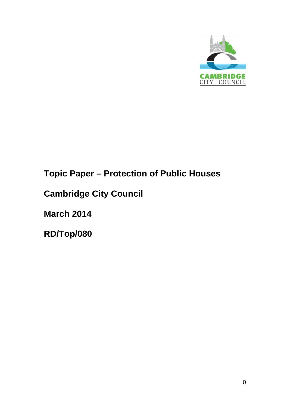

## **Topic Paper – Protection of Public Houses**

# **Cambridge City Council**

**March 2014**

<span id="page-0-0"></span>**RD/Top/080**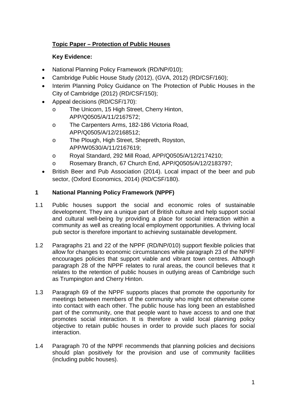### **Topic Paper – Protection of Public Houses**

#### **Key Evidence:**

- National Planning Policy Framework (RD/NP/010);
- Cambridge Public House Study (2012), (GVA, 2012) (RD/CSF/160);
- Interim Planning Policy Guidance on The Protection of Public Houses in the City of Cambridge (2012) (RD/CSF/150);
- Appeal decisions (RD/CSF/170):
	- o The Unicorn, 15 High Street, Cherry Hinton, APP/Q0505/A/11/2167572;
	- o The Carpenters Arms, 182-186 Victoria Road, APP/Q0505/A/12/2168512;
	- o The Plough, High Street, Shepreth, Royston, APP/W0530/A/11/2167619;
	- o Royal Standard, 292 Mill Road, APP/Q0505/A/12/2174210;
	- o Rosemary Branch, 67 Church End, APP/Q0505/A/12/2183797;
- British Beer and Pub Association (2014). Local impact of the beer and pub sector, (Oxford Economics, 2014) (RD/CSF/180).

#### **1 National Planning Policy Framework (NPPF)**

- 1.1 Public houses support the social and economic roles of sustainable development. They are a unique part of British culture and help support social and cultural well-being by providing a place for social interaction within a community as well as creating local employment opportunities. A thriving local pub sector is therefore important to achieving sustainable development.
- 1.2 Paragraphs 21 and 22 of the NPPF (RD/NP/010) support flexible policies that allow for changes to economic circumstances while paragraph 23 of the NPPF encourages policies that support viable and vibrant town centres. Although paragraph 28 of the NPPF relates to rural areas, the council believes that it relates to the retention of public houses in outlying areas of Cambridge such as Trumpington and Cherry Hinton.
- 1.3 Paragraph 69 of the NPPF supports places that promote the opportunity for meetings between members of the community who might not otherwise come into contact with each other. The public house has long been an established part of the community, one that people want to have access to and one that promotes social interaction. It is therefore a valid local planning policy objective to retain public houses in order to provide such places for social interaction.
- 1.4 Paragraph 70 of the NPPF recommends that planning policies and decisions should plan positively for the provision and use of community facilities (including public houses).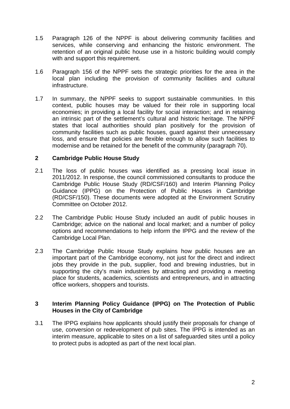- 1.5 Paragraph 126 of the NPPF is about delivering community facilities and services, while conserving and enhancing the historic environment. The retention of an original public house use in a historic building would comply with and support this requirement.
- 1.6 Paragraph 156 of the NPPF sets the strategic priorities for the area in the local plan including the provision of community facilities and cultural infrastructure.
- 1.7 In summary, the NPPF seeks to support sustainable communities. In this context, public houses may be valued for their role in supporting local economies; in providing a local facility for social interaction; and in retaining an intrinsic part of the settlement's cultural and historic heritage. The NPPF states that local authorities should plan positively for the provision of community facilities such as public houses, guard against their unnecessary loss, and ensure that policies are flexible enough to allow such facilities to modernise and be retained for the benefit of the community (paragraph 70).

#### **2 Cambridge Public House Study**

- 2.1 The loss of public houses was identified as a pressing local issue in 2011/2012. In response, the council commissioned consultants to produce the Cambridge Public House Study (RD/CSF/160) and Interim Planning Policy Guidance (IPPG) on the Protection of Public Houses in Cambridge (RD/CSF/150). These documents were adopted at the Environment Scrutiny Committee on October 2012.
- 2.2 The Cambridge Public House Study included an audit of public houses in Cambridge; advice on the national and local market; and a number of policy options and recommendations to help inform the IPPG and the review of the Cambridge Local Plan.
- 2.3 The Cambridge Public House Study explains how public houses are an important part of the Cambridge economy, not just for the direct and indirect jobs they provide in the pub, supplier, food and brewing industries, but in supporting the city's main industries by attracting and providing a meeting place for students, academics, scientists and entrepreneurs, and in attracting office workers, shoppers and tourists.

#### **3 Interim Planning Policy Guidance (IPPG) on The Protection of Public Houses in the City of Cambridge**

3.1 The IPPG explains how applicants should justify their proposals for change of use, conversion or redevelopment of pub sites. The IPPG is intended as an interim measure, applicable to sites on a list of safeguarded sites until a policy to protect pubs is adopted as part of the next local plan.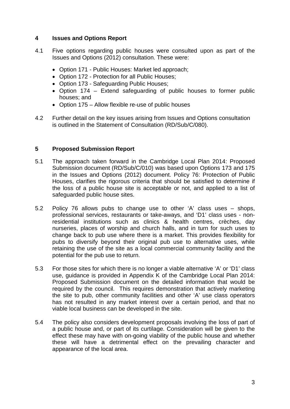#### **4 Issues and Options Report**

- 4.1 Five options regarding public houses were consulted upon as part of the Issues and Options (2012) consultation. These were:
	- Option 171 Public Houses: Market led approach;
	- Option 172 Protection for all Public Houses;
	- Option 173 Safeguarding Public Houses;
	- Option 174 Extend safeguarding of public houses to former public houses; and
	- Option 175 Allow flexible re-use of public houses
- 4.2 Further detail on the key issues arising from Issues and Options consultation is outlined in the Statement of Consultation (RD/Sub/C/080).

#### **5 Proposed Submission Report**

- 5.1 The approach taken forward in the Cambridge Local Plan 2014: Proposed Submission document (RD/Sub/C/010) was based upon Options 173 and 175 in the Issues and Options (2012) document. Policy 76: Protection of Public Houses, clarifies the rigorous criteria that should be satisfied to determine if the loss of a public house site is acceptable or not, and applied to a list of safeguarded public house sites.
- 5.2 Policy 76 allows pubs to change use to other 'A' class uses shops, professional services, restaurants or take-aways, and 'D1' class uses - nonresidential institutions such as clinics & health centres, crèches, day nurseries, places of worship and church halls, and in turn for such uses to change back to pub use where there is a market. This provides flexibility for pubs to diversify beyond their original pub use to alternative uses, while retaining the use of the site as a local commercial community facility and the potential for the pub use to return.
- 5.3 For those sites for which there is no longer a viable alternative 'A' or 'D1' class use, guidance is provided in Appendix K of the Cambridge Local Plan 2014: Proposed Submission document on the detailed information that would be required by the council. This requires demonstration that actively marketing the site to pub, other community facilities and other 'A' use class operators has not resulted in any market interest over a certain period, and that no viable local business can be developed in the site.
- 5.4 The policy also considers development proposals involving the loss of part of a public house and, or part of its curtilage. Consideration will be given to the effect these may have with on-going viability of the public house and whether these will have a detrimental effect on the prevailing character and appearance of the local area.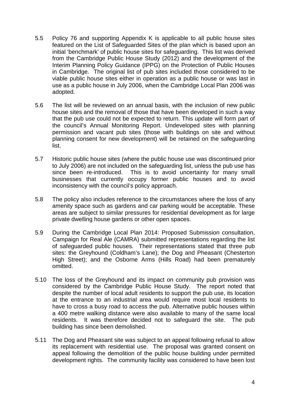- 5.5 Policy 76 and supporting Appendix K is applicable to all public house sites featured on the List of Safeguarded Sites of the plan which is based upon an initial 'benchmark' of public house sites for safeguarding. This list was derived from the Cambridge Public House Study (2012) and the development of the Interim Planning Policy Guidance (IPPG) on the Protection of Public Houses in Cambridge. The original list of pub sites included those considered to be viable public house sites either in operation as a public house or was last in use as a public house in July 2006, when the Cambridge Local Plan 2006 was adopted.
- 5.6 The list will be reviewed on an annual basis, with the inclusion of new public house sites and the removal of those that have been developed in such a way that the pub use could not be expected to return. This update will form part of the council's Annual Monitoring Report. Undeveloped sites with planning permission and vacant pub sites (those with buildings on site and without planning consent for new development) will be retained on the safeguarding list.
- 5.7 Historic public house sites (where the public house use was discontinued prior to July 2006) are not included on the safeguarding list, unless the pub use has since been re-introduced. This is to avoid uncertainty for many small businesses that currently occupy former public houses and to avoid inconsistency with the council's policy approach.
- 5.8 The policy also includes reference to the circumstances where the loss of any amenity space such as gardens and car parking would be acceptable. These areas are subject to similar pressures for residential development as for large private dwelling house gardens or other open spaces.
- 5.9 During the Cambridge Local Plan 2014: Proposed Submission consultation, Campaign for Real Ale (CAMRA) submitted representations regarding the list of safeguarded public houses. Their representations stated that three pub sites: the Greyhound (Coldham's Lane); the Dog and Pheasant (Chesterton High Street); and the Osborne Arms (Hills Road) had been prematurely omitted.
- 5.10 The loss of the Greyhound and its impact on community pub provision was considered by the Cambridge Public House Study. The report noted that despite the number of local adult residents to support the pub use, its location at the entrance to an industrial area would require most local residents to have to cross a busy road to access the pub. Alternative public houses within a 400 metre walking distance were also available to many of the same local residents. It was therefore decided not to safeguard the site. The pub building has since been demolished.
- 5.11 The Dog and Pheasant site was subject to an appeal following refusal to allow its replacement with residential use. The proposal was granted consent on appeal following the demolition of the public house building under permitted development rights. The community facility was considered to have been lost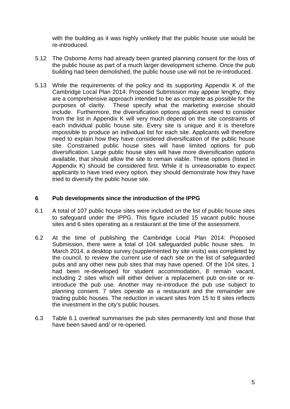with the building as it was highly unlikely that the public house use would be re-introduced.

- 5.12 The Osborne Arms had already been granted planning consent for the loss of the public house as part of a much larger development scheme. Once the pub building had been demolished, the public house use will not be re-introduced.
- 5.13 While the requirements of the policy and its supporting Appendix K of the Cambridge Local Plan 2014: Proposed Submission may appear lengthy, they are a comprehensive approach intended to be as complete as possible for the purposes of clarity. These specify what the marketing exercise should include. Furthermore, the diversification options applicants need to consider from the list in Appendix K will very much depend on the site constraints of each individual public house site. Every site is unique and it is therefore impossible to produce an individual list for each site. Applicants will therefore need to explain how they have considered diversification of the public house site. Constrained public house sites will have limited options for pub diversification. Large public house sites will have more diversification options available, that should allow the site to remain viable. These options (listed in Appendix K) should be considered first. While it is unreasonable to expect applicants to have tried every option, they should demonstrate how they have tried to diversify the public house site.

#### **6 Pub developments since the introduction of the IPPG**

- 6.1 A total of 107 public house sites were included on the list of public house sites to safeguard under the IPPG. This figure included 15 vacant public house sites and 6 sites operating as a restaurant at the time of the assessment.
- 6.2 At the time of publishing the Cambridge Local Plan 2014: Proposed Submission, there were a total of 104 safeguarded public house sites. In March 2014, a desktop survey (supplemented by site visits) was completed by the council, to review the current use of each site on the list of safeguarded pubs and any other new pub sites that may have opened. Of the 104 sites, 1 had been re-developed for student accommodation, 8 remain vacant, including 2 sites which will either deliver a replacement pub on-site or reintroduce the pub use. Another may re-introduce the pub use subject to planning consent. 7 sites operate as a restaurant and the remainder are trading public houses. The reduction in vacant sites from 15 to 8 sites reflects the investment in the city's public houses.
- 6.3 Table 6.1 overleaf summarises the pub sites permanently lost and those that have been saved and/ or re-opened.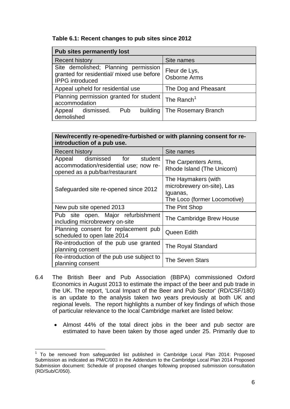#### **Table 6.1: Recent changes to pub sites since 2012**

| <b>Pub sites permanently lost</b>                                                                           |                               |
|-------------------------------------------------------------------------------------------------------------|-------------------------------|
| <b>Recent history</b>                                                                                       | Site names                    |
| Site demolished; Planning permission<br>granted for residential/ mixed use before<br><b>IPPG</b> introduced | Fleur de Lys,<br>Osborne Arms |
| Appeal upheld for residential use                                                                           | The Dog and Pheasant          |
| Planning permission granted for student<br>accommodation                                                    | The Ranch <sup>1</sup>        |
| building<br>Appeal dismissed.<br>Pub<br>demolished                                                          | The Rosemary Branch           |

#### **New/recently re-opened/re-furbished or with planning consent for reintroduction of a pub use.**

| <b>Recent history</b>                                                                                    | Site names                                                                                    |
|----------------------------------------------------------------------------------------------------------|-----------------------------------------------------------------------------------------------|
| Appeal dismissed for student<br>accommodation/residential use; now re-<br>opened as a pub/bar/restaurant | The Carpenters Arms,<br>Rhode Island (The Unicorn)                                            |
| Safeguarded site re-opened since 2012                                                                    | The Haymakers (with<br>microbrewery on-site), Las<br>Iguanas,<br>The Loco (former Locomotive) |
| New pub site opened 2013                                                                                 | The Pint Shop                                                                                 |
| Pub site open. Major refurbishment<br>including microbrewery on-site                                     | The Cambridge Brew House                                                                      |
| Planning consent for replacement pub<br>scheduled to open late 2014                                      | Queen Edith                                                                                   |
| Re-introduction of the pub use granted<br>planning consent                                               | The Royal Standard                                                                            |
| Re-introduction of the pub use subject to<br>planning consent                                            | The Seven Stars                                                                               |

- 6.4 The British Beer and Pub Association (BBPA) commissioned Oxford Economics in August 2013 to estimate the impact of the beer and pub trade in the UK. The report, 'Local Impact of the Beer and Pub Sector' (RD/CSF/180) is an update to the analysis taken two years previously at both UK and regional levels. The report highlights a number of key findings of which those of particular relevance to the local Cambridge market are listed below:
	- Almost 44% of the total direct jobs in the beer and pub sector are estimated to have been taken by those aged under 25. Primarily due to

 $1$  To be removed from safeguarded list published in Cambridge Local Plan 2014: Proposed Submission as indicated as PM/C/003 in the Addendum to the Cambridge Local Plan 2014 Proposed Submission document: Schedule of proposed changes following proposed submission consultation (RD/Sub/C/050).